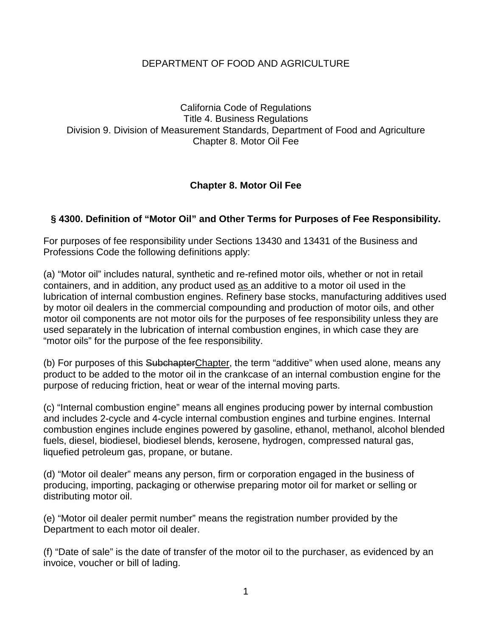#### DEPARTMENT OF FOOD AND AGRICULTURE

California Code of Regulations Title 4. Business Regulations Division 9. Division of Measurement Standards, Department of Food and Agriculture Chapter 8. Motor Oil Fee

### **Chapter 8. Motor Oil Fee**

### **§ 4300. Definition of "Motor Oil" and Other Terms for Purposes of Fee Responsibility.**

For purposes of fee responsibility under Sections 13430 and 13431 of the Business and Professions Code the following definitions apply:

(a) "Motor oil" includes natural, synthetic and re-refined motor oils, whether or not in retail containers, and in addition, any product used as an additive to a motor oil used in the lubrication of internal combustion engines. Refinery base stocks, manufacturing additives used by motor oil dealers in the commercial compounding and production of motor oils, and other motor oil components are not motor oils for the purposes of fee responsibility unless they are used separately in the lubrication of internal combustion engines, in which case they are "motor oils" for the purpose of the fee responsibility.

(b) For purposes of this SubchapterChapter, the term "additive" when used alone, means any product to be added to the motor oil in the crankcase of an internal combustion engine for the purpose of reducing friction, heat or wear of the internal moving parts.

(c) "Internal combustion engine" means all engines producing power by internal combustion and includes 2-cycle and 4-cycle internal combustion engines and turbine engines. Internal combustion engines include engines powered by gasoline, ethanol, methanol, alcohol blended fuels, diesel, biodiesel, biodiesel blends, kerosene, hydrogen, compressed natural gas, liquefied petroleum gas, propane, or butane.

(d) "Motor oil dealer" means any person, firm or corporation engaged in the business of producing, importing, packaging or otherwise preparing motor oil for market or selling or distributing motor oil.

(e) "Motor oil dealer permit number" means the registration number provided by the Department to each motor oil dealer.

(f) "Date of sale" is the date of transfer of the motor oil to the purchaser, as evidenced by an invoice, voucher or bill of lading.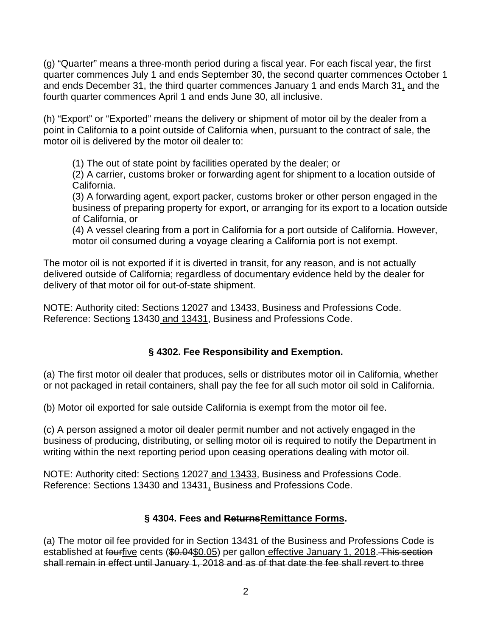(g) "Quarter" means a three-month period during a fiscal year. For each fiscal year, the first quarter commences July 1 and ends September 30, the second quarter commences October 1 and ends December 31, the third quarter commences January 1 and ends March 31, and the fourth quarter commences April 1 and ends June 30, all inclusive.

(h) "Export" or "Exported" means the delivery or shipment of motor oil by the dealer from a point in California to a point outside of California when, pursuant to the contract of sale, the motor oil is delivered by the motor oil dealer to:

(1) The out of state point by facilities operated by the dealer; or

(2) A carrier, customs broker or forwarding agent for shipment to a location outside of California.

(3) A forwarding agent, export packer, customs broker or other person engaged in the business of preparing property for export, or arranging for its export to a location outside of California, or

(4) A vessel clearing from a port in California for a port outside of California. However, motor oil consumed during a voyage clearing a California port is not exempt.

The motor oil is not exported if it is diverted in transit, for any reason, and is not actually delivered outside of California; regardless of documentary evidence held by the dealer for delivery of that motor oil for out-of-state shipment.

NOTE: Authority cited: Sections 12027 and 13433, Business and Professions Code. Reference: Sections 13430 and 13431, Business and Professions Code.

### **§ 4302. Fee Responsibility and Exemption.**

(a) The first motor oil dealer that produces, sells or distributes motor oil in California, whether or not packaged in retail containers, shall pay the fee for all such motor oil sold in California.

(b) Motor oil exported for sale outside California is exempt from the motor oil fee.

(c) A person assigned a motor oil dealer permit number and not actively engaged in the business of producing, distributing, or selling motor oil is required to notify the Department in writing within the next reporting period upon ceasing operations dealing with motor oil.

NOTE: Authority cited: Sections 12027 and 13433, Business and Professions Code. Reference: Sections 13430 and 13431, Business and Professions Code.

### **§ 4304. Fees and ReturnsRemittance Forms.**

(a) The motor oil fee provided for in Section 13431 of the Business and Professions Code is established at fourfive cents (\$0.04\$0.05) per gallon effective January 1, 2018. This section shall remain in effect until January 1, 2018 and as of that date the fee shall revert to three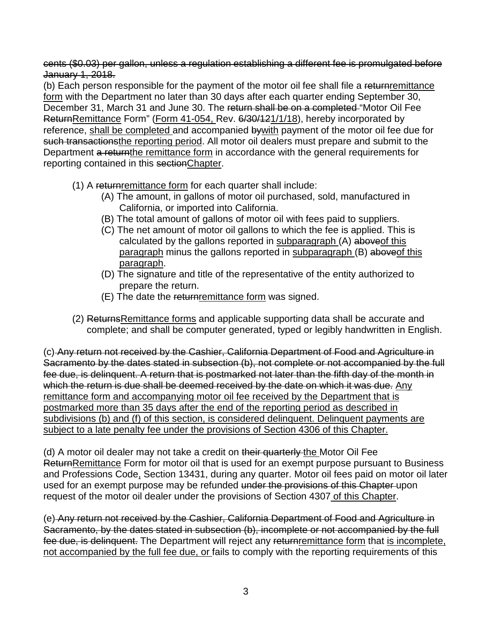cents (\$0.03) per gallon, unless a regulation establishing a different fee is promulgated before January 1, 2018.

(b) Each person responsible for the payment of the motor oil fee shall file a returnremittance form with the Department no later than 30 days after each quarter ending September 30, December 31, March 31 and June 30. The return shall be on a completed "Motor Oil Fee ReturnRemittance Form" (Form 41-054, Rev. 6/30/121/1/18), hereby incorporated by reference, shall be completed and accompanied bywith payment of the motor oil fee due for such transactionsthe reporting period. All motor oil dealers must prepare and submit to the Department a returnthe remittance form in accordance with the general requirements for reporting contained in this sectionChapter.

- (1) A returnremittance form for each quarter shall include:
	- (A) The amount, in gallons of motor oil purchased, sold, manufactured in California, or imported into California.
	- (B) The total amount of gallons of motor oil with fees paid to suppliers.
	- (C) The net amount of motor oil gallons to which the fee is applied. This is calculated by the gallons reported in subparagraph (A) aboveof this paragraph minus the gallons reported in subparagraph (B) above of this paragraph.
	- (D) The signature and title of the representative of the entity authorized to prepare the return.
	- (E) The date the returnremittance form was signed.
- (2) ReturnsRemittance forms and applicable supporting data shall be accurate and complete; and shall be computer generated, typed or legibly handwritten in English.

(c) Any return not received by the Cashier, California Department of Food and Agriculture in Sacramento by the dates stated in subsection (b), not complete or not accompanied by the full fee due, is delinquent. A return that is postmarked not later than the fifth day of the month in which the return is due shall be deemed received by the date on which it was due. Any remittance form and accompanying motor oil fee received by the Department that is postmarked more than 35 days after the end of the reporting period as described in subdivisions (b) and (f) of this section, is considered delinquent. Delinquent payments are subject to a late penalty fee under the provisions of Section 4306 of this Chapter.

(d) A motor oil dealer may not take a credit on their quarterly the Motor Oil Fee ReturnRemittance Form for motor oil that is used for an exempt purpose pursuant to Business and Professions Code, Section 13431, during any quarter. Motor oil fees paid on motor oil later used for an exempt purpose may be refunded under the provisions of this Chapter upon request of the motor oil dealer under the provisions of Section 4307 of this Chapter.

(e) Any return not received by the Cashier, California Department of Food and Agriculture in Sacramento, by the dates stated in subsection (b), incomplete or not accompanied by the full fee due, is delinguent. The Department will reject any returnremittance form that is incomplete, not accompanied by the full fee due, or fails to comply with the reporting requirements of this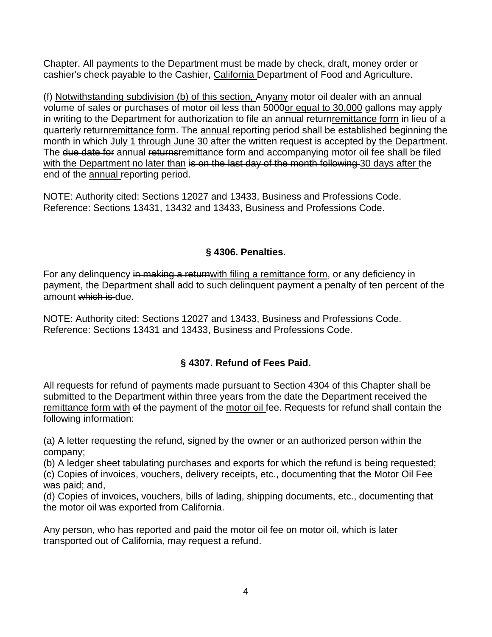Chapter. All payments to the Department must be made by check, draft, money order or cashier's check payable to the Cashier, California Department of Food and Agriculture.

(f) Notwithstanding subdivision (b) of this section, Anyany motor oil dealer with an annual volume of sales or purchases of motor oil less than 5000or equal to 30,000 gallons may apply in writing to the Department for authorization to file an annual returnremittance form in lieu of a quarterly returnremittance form. The annual reporting period shall be established beginning the month in which July 1 through June 30 after the written request is accepted by the Department. The due date for annual returnsremittance form and accompanying motor oil fee shall be filed with the Department no later than is on the last day of the month following 30 days after the end of the annual reporting period.

NOTE: Authority cited: Sections 12027 and 13433, Business and Professions Code. Reference: Sections 13431, 13432 and 13433, Business and Professions Code.

# **§ 4306. Penalties.**

For any delinguency in making a returnwith filing a remittance form, or any deficiency in payment, the Department shall add to such delinquent payment a penalty of ten percent of the amount which is due.

NOTE: Authority cited: Sections 12027 and 13433, Business and Professions Code. Reference: Sections 13431 and 13433, Business and Professions Code.

# **§ 4307. Refund of Fees Paid.**

All requests for refund of payments made pursuant to Section 4304 of this Chapter shall be submitted to the Department within three years from the date the Department received the remittance form with of the payment of the motor oil fee. Requests for refund shall contain the following information:

(a) A letter requesting the refund, signed by the owner or an authorized person within the company;

(b) A ledger sheet tabulating purchases and exports for which the refund is being requested; (c) Copies of invoices, vouchers, delivery receipts, etc., documenting that the Motor Oil Fee was paid; and,

(d) Copies of invoices, vouchers, bills of lading, shipping documents, etc., documenting that the motor oil was exported from California.

Any person, who has reported and paid the motor oil fee on motor oil, which is later transported out of California, may request a refund.